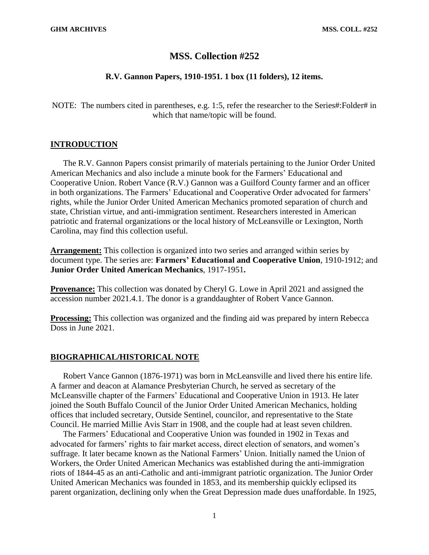## **MSS. Collection #252**

### **R.V. Gannon Papers, 1910-1951. 1 box (11 folders), 12 items.**

NOTE: The numbers cited in parentheses, e.g. 1:5, refer the researcher to the Series#:Folder# in which that name/topic will be found.

## **INTRODUCTION**

The R.V. Gannon Papers consist primarily of materials pertaining to the Junior Order United American Mechanics and also include a minute book for the Farmers' Educational and Cooperative Union. Robert Vance (R.V.) Gannon was a Guilford County farmer and an officer in both organizations. The Farmers' Educational and Cooperative Order advocated for farmers' rights, while the Junior Order United American Mechanics promoted separation of church and state, Christian virtue, and anti-immigration sentiment. Researchers interested in American patriotic and fraternal organizations or the local history of McLeansville or Lexington, North Carolina, may find this collection useful.

**Arrangement:** This collection is organized into two series and arranged within series by document type. The series are: **Farmers' Educational and Cooperative Union**, 1910-1912; and **Junior Order United American Mechanics**, 1917-1951**.**

**Provenance:** This collection was donated by Cheryl G. Lowe in April 2021 and assigned the accession number 2021.4.1. The donor is a granddaughter of Robert Vance Gannon.

**Processing:** This collection was organized and the finding aid was prepared by intern Rebecca Doss in June 2021.

### **BIOGRAPHICAL/HISTORICAL NOTE**

Robert Vance Gannon (1876-1971) was born in McLeansville and lived there his entire life. A farmer and deacon at Alamance Presbyterian Church, he served as secretary of the McLeansville chapter of the Farmers' Educational and Cooperative Union in 1913. He later joined the South Buffalo Council of the Junior Order United American Mechanics, holding offices that included secretary, Outside Sentinel, councilor, and representative to the State Council. He married Millie Avis Starr in 1908, and the couple had at least seven children.

The Farmers' Educational and Cooperative Union was founded in 1902 in Texas and advocated for farmers' rights to fair market access, direct election of senators, and women's suffrage. It later became known as the National Farmers' Union. Initially named the Union of Workers, the Order United American Mechanics was established during the anti-immigration riots of 1844-45 as an anti-Catholic and anti-immigrant patriotic organization. The Junior Order United American Mechanics was founded in 1853, and its membership quickly eclipsed its parent organization, declining only when the Great Depression made dues unaffordable. In 1925,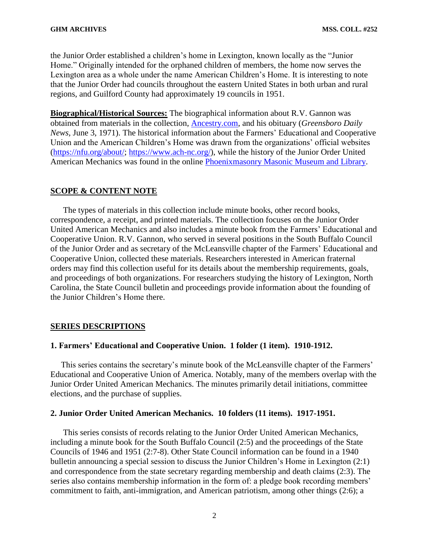the Junior Order established a children's home in Lexington, known locally as the "Junior Home." Originally intended for the orphaned children of members, the home now serves the Lexington area as a whole under the name American Children's Home. It is interesting to note that the Junior Order had councils throughout the eastern United States in both urban and rural regions, and Guilford County had approximately 19 councils in 1951.

**Biographical/Historical Sources:** The biographical information about R.V. Gannon was obtained from materials in the collection, [Ancestry.com,](https://ancestry.com/) and his obituary (*Greensboro Daily News,* June 3, 1971). The historical information about the Farmers' Educational and Cooperative Union and the American Children's Home was drawn from the organizations' official websites [\(https://nfu.org/about/;](https://nfu.org/about/) [https://www.ach-nc.org/\)](https://www.ach-nc.org/), while the history of the Junior Order United American Mechanics was found in the online [Phoenixmasonry Masonic Museum and Library.](http://www.phoenixmasonry.org/masonicmuseum/fraternalism/jr_aoum.htm)

#### **SCOPE & CONTENT NOTE**

The types of materials in this collection include minute books, other record books, correspondence, a receipt, and printed materials. The collection focuses on the Junior Order United American Mechanics and also includes a minute book from the Farmers' Educational and Cooperative Union. R.V. Gannon, who served in several positions in the South Buffalo Council of the Junior Order and as secretary of the McLeansville chapter of the Farmers' Educational and Cooperative Union, collected these materials. Researchers interested in American fraternal orders may find this collection useful for its details about the membership requirements, goals, and proceedings of both organizations. For researchers studying the history of Lexington, North Carolina, the State Council bulletin and proceedings provide information about the founding of the Junior Children's Home there.

## **SERIES DESCRIPTIONS**

#### **1. Farmers' Educational and Cooperative Union. 1 folder (1 item). 1910-1912.**

 This series contains the secretary's minute book of the McLeansville chapter of the Farmers' Educational and Cooperative Union of America. Notably, many of the members overlap with the Junior Order United American Mechanics. The minutes primarily detail initiations, committee elections, and the purchase of supplies.

## **2. Junior Order United American Mechanics. 10 folders (11 items). 1917-1951.**

This series consists of records relating to the Junior Order United American Mechanics, including a minute book for the South Buffalo Council (2:5) and the proceedings of the State Councils of 1946 and 1951 (2:7-8). Other State Council information can be found in a 1940 bulletin announcing a special session to discuss the Junior Children's Home in Lexington (2:1) and correspondence from the state secretary regarding membership and death claims (2:3). The series also contains membership information in the form of: a pledge book recording members' commitment to faith, anti-immigration, and American patriotism, among other things (2:6); a